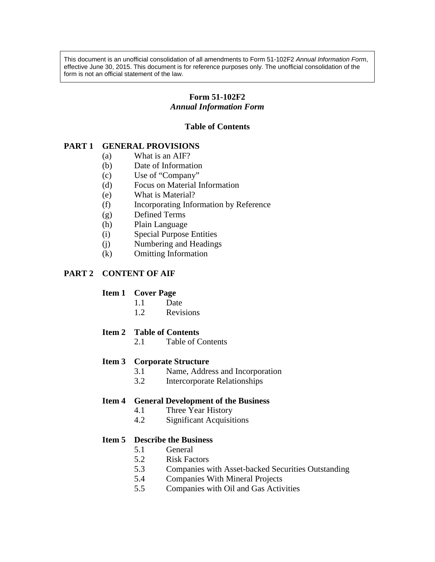This document is an unofficial consolidation of all amendments to Form 51-102F2 *Annual Information Form*, effective June 30, 2015. This document is for reference purposes only. The unofficial consolidation of the form is not an official statement of the law.

# **Form 51-102F2**

# *Annual Information Form*

# **Table of Contents**

# **PART 1 GENERAL PROVISIONS**

- (a) What is an AIF?
- (b) Date of Information
- (c) Use of "Company"
- (d) Focus on Material Information
- (e) What is Material?
- (f) Incorporating Information by Reference
- (g) Defined Terms
- (h) Plain Language
- (i) Special Purpose Entities
- (j) Numbering and Headings
- (k) Omitting Information

## **PART 2 CONTENT OF AIF**

#### **Item 1 Cover Page**

- 1.1 Date
- 1.2 Revisions

#### **Item 2 Table of Contents**

2.1 Table of Contents

#### **Item 3 Corporate Structure**

- 3.1 Name, Address and Incorporation
- 3.2 Intercorporate Relationships

#### **Item 4 General Development of the Business**

- 4.1 Three Year History
- 4.2 Significant Acquisitions

## **Item 5 Describe the Business**

- 5.1 General
- 5.2 Risk Factors
- 5.3 Companies with Asset-backed Securities Outstanding
- 5.4 Companies With Mineral Projects
- 5.5 Companies with Oil and Gas Activities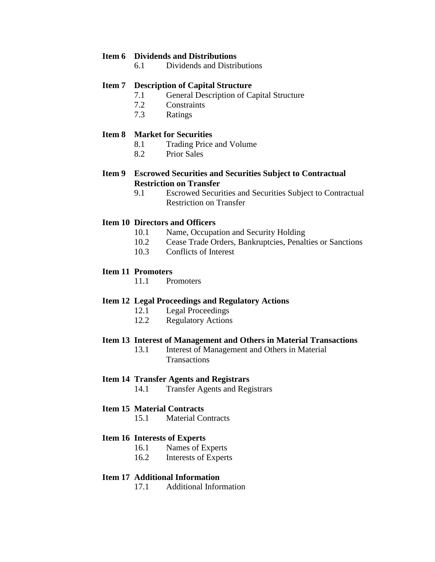#### **Item 6 Dividends and Distributions**

6.1 Dividends and Distributions

#### **Item 7 Description of Capital Structure**

- 7.1 General Description of Capital Structure
- 7.2 Constraints
- 7.3 Ratings

#### **Item 8 Market for Securities**

- 8.1 Trading Price and Volume
- 8.2 Prior Sales

#### **Item 9 Escrowed Securities and Securities Subject to Contractual Restriction on Transfer**

9.1 Escrowed Securities and Securities Subject to Contractual Restriction on Transfer

#### **Item 10 Directors and Officers**

- 10.1 Name, Occupation and Security Holding
- 10.2 Cease Trade Orders, Bankruptcies, Penalties or Sanctions
- 10.3 Conflicts of Interest

#### **Item 11 Promoters**

11.1 Promoters

#### **Item 12 Legal Proceedings and Regulatory Actions**

- 12.1 Legal Proceedings
- 12.2 Regulatory Actions

#### **Item 13 Interest of Management and Others in Material Transactions**

13.1 Interest of Management and Others in Material **Transactions** 

#### **Item 14 Transfer Agents and Registrars**

14.1 Transfer Agents and Registrars

#### **Item 15 Material Contracts**

15.1 Material Contracts

#### **Item 16 Interests of Experts**

- 16.1 Names of Experts
- 16.2 Interests of Experts

#### **Item 17 Additional Information**

17.1 Additional Information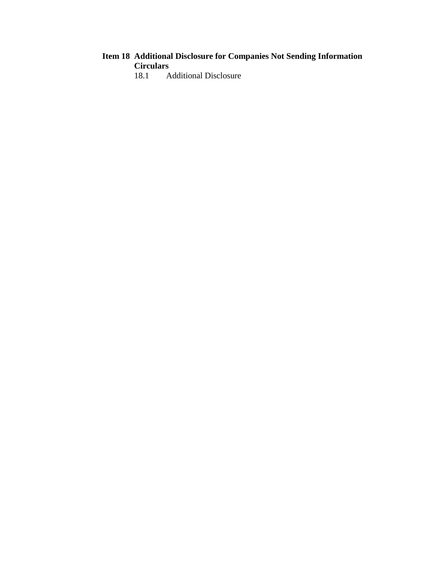# **Item 18 Additional Disclosure for Companies Not Sending Information Circulars**<br>18.1 A

Additional Disclosure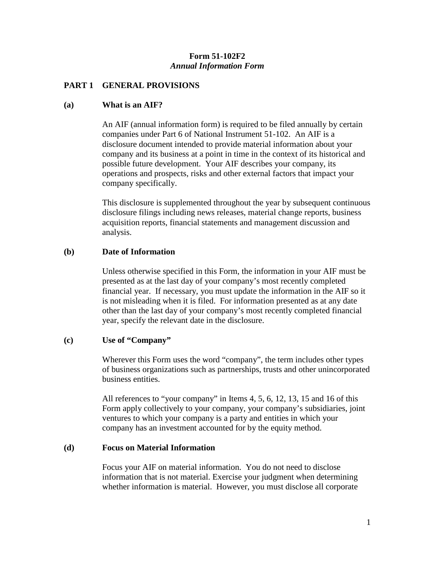# **Form 51-102F2** *Annual Information Form*

# **PART 1 GENERAL PROVISIONS**

## **(a) What is an AIF?**

An AIF (annual information form) is required to be filed annually by certain companies under Part 6 of National Instrument 51-102. An AIF is a disclosure document intended to provide material information about your company and its business at a point in time in the context of its historical and possible future development. Your AIF describes your company, its operations and prospects, risks and other external factors that impact your company specifically.

This disclosure is supplemented throughout the year by subsequent continuous disclosure filings including news releases, material change reports, business acquisition reports, financial statements and management discussion and analysis.

# **(b) Date of Information**

Unless otherwise specified in this Form, the information in your AIF must be presented as at the last day of your company's most recently completed financial year. If necessary, you must update the information in the AIF so it is not misleading when it is filed. For information presented as at any date other than the last day of your company's most recently completed financial year, specify the relevant date in the disclosure.

## **(c) Use of "Company"**

Wherever this Form uses the word "company", the term includes other types of business organizations such as partnerships, trusts and other unincorporated business entities.

All references to "your company" in Items 4, 5, 6, 12, 13, 15 and 16 of this Form apply collectively to your company, your company's subsidiaries, joint ventures to which your company is a party and entities in which your company has an investment accounted for by the equity method.

## **(d) Focus on Material Information**

Focus your AIF on material information. You do not need to disclose information that is not material. Exercise your judgment when determining whether information is material. However, you must disclose all corporate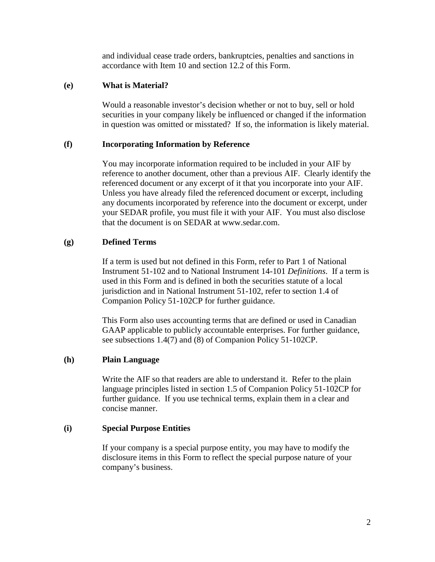and individual cease trade orders, bankruptcies, penalties and sanctions in accordance with Item 10 and section 12.2 of this Form.

# **(e) What is Material?**

Would a reasonable investor's decision whether or not to buy, sell or hold securities in your company likely be influenced or changed if the information in question was omitted or misstated? If so, the information is likely material.

## **(f) Incorporating Information by Reference**

You may incorporate information required to be included in your AIF by reference to another document, other than a previous AIF. Clearly identify the referenced document or any excerpt of it that you incorporate into your AIF. Unless you have already filed the referenced document or excerpt, including any documents incorporated by reference into the document or excerpt, under your SEDAR profile, you must file it with your AIF. You must also disclose that the document is on SEDAR at www.sedar.com.

# **(g) Defined Terms**

If a term is used but not defined in this Form, refer to Part 1 of National Instrument 51-102 and to National Instrument 14-101 *Definitions*. If a term is used in this Form and is defined in both the securities statute of a local jurisdiction and in National Instrument 51-102, refer to section 1.4 of Companion Policy 51-102CP for further guidance.

This Form also uses accounting terms that are defined or used in Canadian GAAP applicable to publicly accountable enterprises. For further guidance, see subsections 1.4(7) and (8) of Companion Policy 51-102CP.

## **(h) Plain Language**

Write the AIF so that readers are able to understand it. Refer to the plain language principles listed in section 1.5 of Companion Policy 51-102CP for further guidance. If you use technical terms, explain them in a clear and concise manner.

## **(i) Special Purpose Entities**

If your company is a special purpose entity, you may have to modify the disclosure items in this Form to reflect the special purpose nature of your company's business.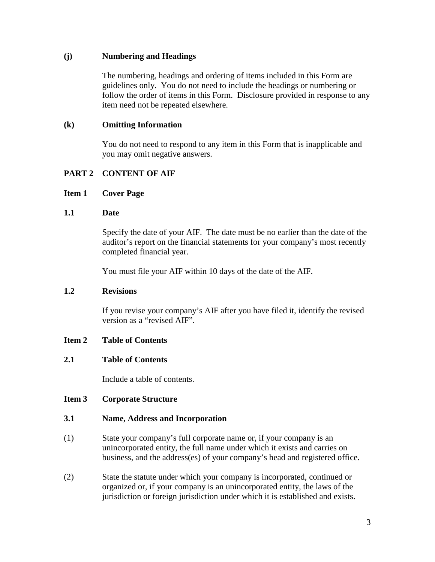# **(j) Numbering and Headings**

The numbering, headings and ordering of items included in this Form are guidelines only. You do not need to include the headings or numbering or follow the order of items in this Form. Disclosure provided in response to any item need not be repeated elsewhere.

# **(k) Omitting Information**

You do not need to respond to any item in this Form that is inapplicable and you may omit negative answers.

# **PART 2 CONTENT OF AIF**

# **Item 1 Cover Page**

# **1.1 Date**

Specify the date of your AIF. The date must be no earlier than the date of the auditor's report on the financial statements for your company's most recently completed financial year.

You must file your AIF within 10 days of the date of the AIF.

## **1.2 Revisions**

If you revise your company's AIF after you have filed it, identify the revised version as a "revised AIF".

# **Item 2 Table of Contents**

## **2.1 Table of Contents**

Include a table of contents.

## **Item 3 Corporate Structure**

## **3.1 Name, Address and Incorporation**

- (1) State your company's full corporate name or, if your company is an unincorporated entity, the full name under which it exists and carries on business, and the address(es) of your company's head and registered office.
- (2) State the statute under which your company is incorporated, continued or organized or, if your company is an unincorporated entity, the laws of the jurisdiction or foreign jurisdiction under which it is established and exists.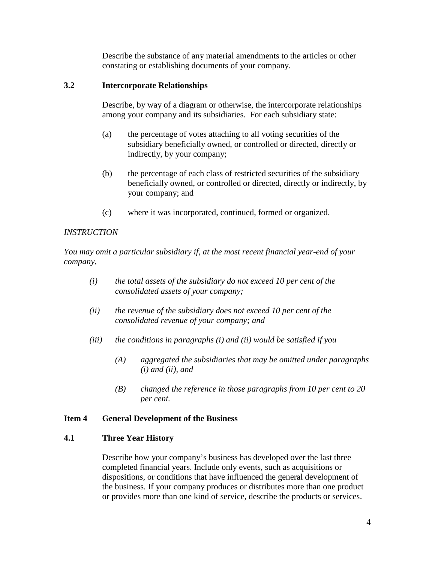Describe the substance of any material amendments to the articles or other constating or establishing documents of your company.

# **3.2 Intercorporate Relationships**

Describe, by way of a diagram or otherwise, the intercorporate relationships among your company and its subsidiaries. For each subsidiary state:

- (a) the percentage of votes attaching to all voting securities of the subsidiary beneficially owned, or controlled or directed, directly or indirectly, by your company;
- (b) the percentage of each class of restricted securities of the subsidiary beneficially owned, or controlled or directed, directly or indirectly, by your company; and
- (c) where it was incorporated, continued, formed or organized.

# *INSTRUCTION*

*You may omit a particular subsidiary if, at the most recent financial year-end of your company,*

- *(i) the total assets of the subsidiary do not exceed 10 per cent of the consolidated assets of your company;*
- *(ii) the revenue of the subsidiary does not exceed 10 per cent of the consolidated revenue of your company; and*
- *(iii) the conditions in paragraphs (i) and (ii) would be satisfied if you*
	- *(A) aggregated the subsidiaries that may be omitted under paragraphs (i) and (ii), and*
	- *(B) changed the reference in those paragraphs from 10 per cent to 20 per cent.*

## **Item 4 General Development of the Business**

## **4.1 Three Year History**

Describe how your company's business has developed over the last three completed financial years. Include only events, such as acquisitions or dispositions, or conditions that have influenced the general development of the business. If your company produces or distributes more than one product or provides more than one kind of service, describe the products or services.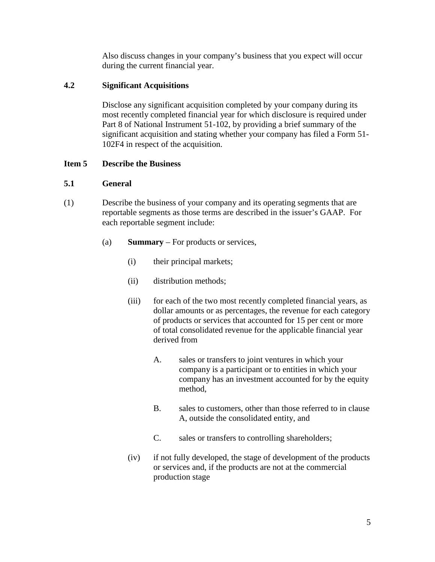Also discuss changes in your company's business that you expect will occur during the current financial year.

# **4.2 Significant Acquisitions**

Disclose any significant acquisition completed by your company during its most recently completed financial year for which disclosure is required under Part 8 of National Instrument 51-102, by providing a brief summary of the significant acquisition and stating whether your company has filed a Form 51- 102F4 in respect of the acquisition.

# **Item 5 Describe the Business**

# **5.1 General**

- (1) Describe the business of your company and its operating segments that are reportable segments as those terms are described in the issuer's GAAP. For each reportable segment include:
	- (a) **Summary** For products or services,
		- (i) their principal markets;
		- (ii) distribution methods;
		- (iii) for each of the two most recently completed financial years, as dollar amounts or as percentages, the revenue for each category of products or services that accounted for 15 per cent or more of total consolidated revenue for the applicable financial year derived from
			- A. sales or transfers to joint ventures in which your company is a participant or to entities in which your company has an investment accounted for by the equity method,
			- B. sales to customers, other than those referred to in clause A, outside the consolidated entity, and
			- C. sales or transfers to controlling shareholders;
		- (iv) if not fully developed, the stage of development of the products or services and, if the products are not at the commercial production stage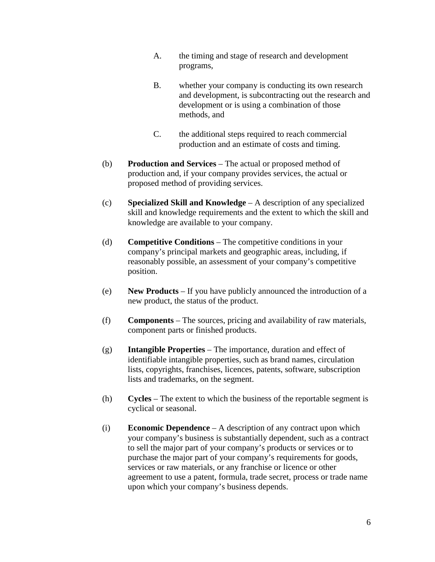- A. the timing and stage of research and development programs,
- B. whether your company is conducting its own research and development, is subcontracting out the research and development or is using a combination of those methods, and
- C. the additional steps required to reach commercial production and an estimate of costs and timing.
- (b) **Production and Services** The actual or proposed method of production and, if your company provides services, the actual or proposed method of providing services.
- (c) **Specialized Skill and Knowledge** A description of any specialized skill and knowledge requirements and the extent to which the skill and knowledge are available to your company.
- (d) **Competitive Conditions** The competitive conditions in your company's principal markets and geographic areas, including, if reasonably possible, an assessment of your company's competitive position.
- (e) **New Products** If you have publicly announced the introduction of a new product, the status of the product.
- (f) **Components** The sources, pricing and availability of raw materials, component parts or finished products.
- (g) **Intangible Properties** The importance, duration and effect of identifiable intangible properties, such as brand names, circulation lists, copyrights, franchises, licences, patents, software, subscription lists and trademarks, on the segment.
- (h) **Cycles** The extent to which the business of the reportable segment is cyclical or seasonal.
- (i) **Economic Dependence** A description of any contract upon which your company's business is substantially dependent, such as a contract to sell the major part of your company's products or services or to purchase the major part of your company's requirements for goods, services or raw materials, or any franchise or licence or other agreement to use a patent, formula, trade secret, process or trade name upon which your company's business depends.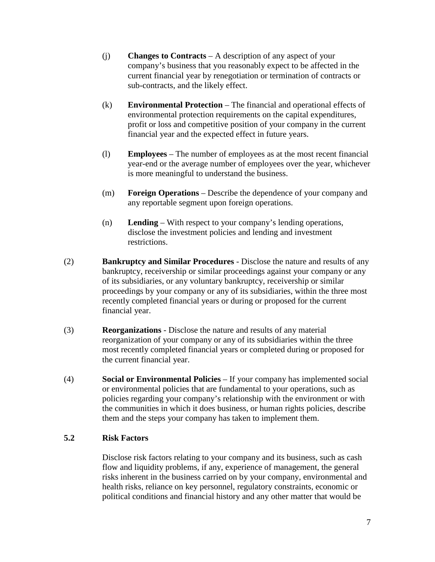- (j) **Changes to Contracts** A description of any aspect of your company's business that you reasonably expect to be affected in the current financial year by renegotiation or termination of contracts or sub-contracts, and the likely effect.
- (k) **Environmental Protection** The financial and operational effects of environmental protection requirements on the capital expenditures, profit or loss and competitive position of your company in the current financial year and the expected effect in future years.
- (l) **Employees** The number of employees as at the most recent financial year-end or the average number of employees over the year, whichever is more meaningful to understand the business.
- (m) **Foreign Operations** Describe the dependence of your company and any reportable segment upon foreign operations.
- (n) **Lending** With respect to your company's lending operations, disclose the investment policies and lending and investment restrictions.
- (2) **Bankruptcy and Similar Procedures** Disclose the nature and results of any bankruptcy, receivership or similar proceedings against your company or any of its subsidiaries, or any voluntary bankruptcy, receivership or similar proceedings by your company or any of its subsidiaries, within the three most recently completed financial years or during or proposed for the current financial year.
- (3) **Reorganizations** Disclose the nature and results of any material reorganization of your company or any of its subsidiaries within the three most recently completed financial years or completed during or proposed for the current financial year.
- (4) **Social or Environmental Policies** If your company has implemented social or environmental policies that are fundamental to your operations, such as policies regarding your company's relationship with the environment or with the communities in which it does business, or human rights policies, describe them and the steps your company has taken to implement them.

# **5.2 Risk Factors**

Disclose risk factors relating to your company and its business, such as cash flow and liquidity problems, if any, experience of management, the general risks inherent in the business carried on by your company, environmental and health risks, reliance on key personnel, regulatory constraints, economic or political conditions and financial history and any other matter that would be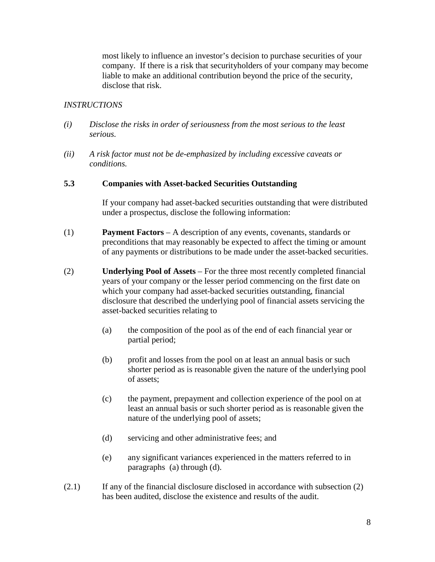most likely to influence an investor's decision to purchase securities of your company. If there is a risk that securityholders of your company may become liable to make an additional contribution beyond the price of the security, disclose that risk.

## *INSTRUCTIONS*

- *(i) Disclose the risks in order of seriousness from the most serious to the least serious.*
- *(ii) A risk factor must not be de-emphasized by including excessive caveats or conditions.*

## **5.3 Companies with Asset-backed Securities Outstanding**

If your company had asset-backed securities outstanding that were distributed under a prospectus, disclose the following information:

- (1) **Payment Factors** A description of any events, covenants, standards or preconditions that may reasonably be expected to affect the timing or amount of any payments or distributions to be made under the asset-backed securities.
- (2) **Underlying Pool of Assets** For the three most recently completed financial years of your company or the lesser period commencing on the first date on which your company had asset-backed securities outstanding, financial disclosure that described the underlying pool of financial assets servicing the asset-backed securities relating to
	- (a) the composition of the pool as of the end of each financial year or partial period;
	- (b) profit and losses from the pool on at least an annual basis or such shorter period as is reasonable given the nature of the underlying pool of assets;
	- (c) the payment, prepayment and collection experience of the pool on at least an annual basis or such shorter period as is reasonable given the nature of the underlying pool of assets;
	- (d) servicing and other administrative fees; and
	- (e) any significant variances experienced in the matters referred to in paragraphs (a) through (d).
- (2.1) If any of the financial disclosure disclosed in accordance with subsection (2) has been audited, disclose the existence and results of the audit.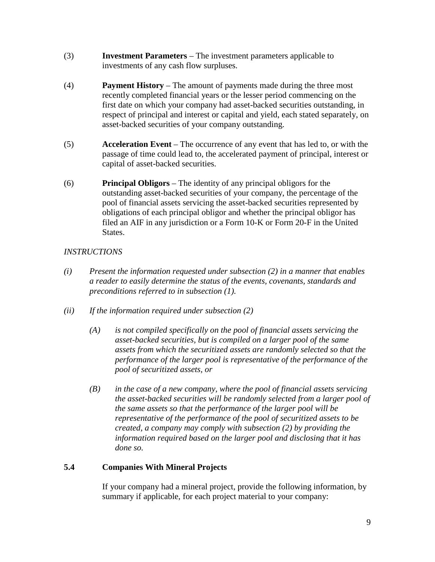- (3) **Investment Parameters** The investment parameters applicable to investments of any cash flow surpluses.
- (4) **Payment History** The amount of payments made during the three most recently completed financial years or the lesser period commencing on the first date on which your company had asset-backed securities outstanding, in respect of principal and interest or capital and yield, each stated separately, on asset-backed securities of your company outstanding.
- (5) **Acceleration Event** The occurrence of any event that has led to, or with the passage of time could lead to, the accelerated payment of principal, interest or capital of asset-backed securities.
- (6) **Principal Obligors** The identity of any principal obligors for the outstanding asset-backed securities of your company, the percentage of the pool of financial assets servicing the asset-backed securities represented by obligations of each principal obligor and whether the principal obligor has filed an AIF in any jurisdiction or a Form 10-K or Form 20-F in the United States.

# *INSTRUCTIONS*

- *(i) Present the information requested under subsection (2) in a manner that enables a reader to easily determine the status of the events, covenants, standards and preconditions referred to in subsection (1).*
- *(ii) If the information required under subsection (2)*
	- *(A) is not compiled specifically on the pool of financial assets servicing the asset-backed securities, but is compiled on a larger pool of the same assets from which the securitized assets are randomly selected so that the performance of the larger pool is representative of the performance of the pool of securitized assets, or*
	- *(B) in the case of a new company, where the pool of financial assets servicing the asset-backed securities will be randomly selected from a larger pool of the same assets so that the performance of the larger pool will be representative of the performance of the pool of securitized assets to be created, a company may comply with subsection (2) by providing the information required based on the larger pool and disclosing that it has done so.*

# **5.4 Companies With Mineral Projects**

If your company had a mineral project, provide the following information, by summary if applicable, for each project material to your company: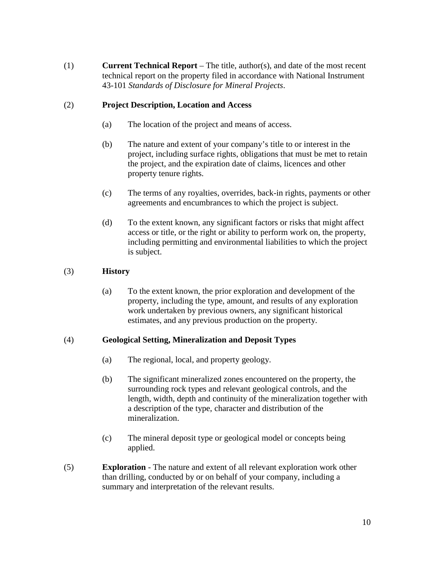(1) **Current Technical Report** – The title, author(s), and date of the most recent technical report on the property filed in accordance with National Instrument 43-101 *Standards of Disclosure for Mineral Projects*.

# (2) **Project Description, Location and Access**

- (a) The location of the project and means of access.
- (b) The nature and extent of your company's title to or interest in the project, including surface rights, obligations that must be met to retain the project, and the expiration date of claims, licences and other property tenure rights.
- (c) The terms of any royalties, overrides, back-in rights, payments or other agreements and encumbrances to which the project is subject.
- (d) To the extent known, any significant factors or risks that might affect access or title, or the right or ability to perform work on, the property, including permitting and environmental liabilities to which the project is subject.

# (3) **History**

(a) To the extent known, the prior exploration and development of the property, including the type, amount, and results of any exploration work undertaken by previous owners, any significant historical estimates, and any previous production on the property.

# (4) **Geological Setting, Mineralization and Deposit Types**

- (a) The regional, local, and property geology.
- (b) The significant mineralized zones encountered on the property, the surrounding rock types and relevant geological controls, and the length, width, depth and continuity of the mineralization together with a description of the type, character and distribution of the mineralization.
- (c) The mineral deposit type or geological model or concepts being applied.
- (5) **Exploration** The nature and extent of all relevant exploration work other than drilling, conducted by or on behalf of your company, including a summary and interpretation of the relevant results.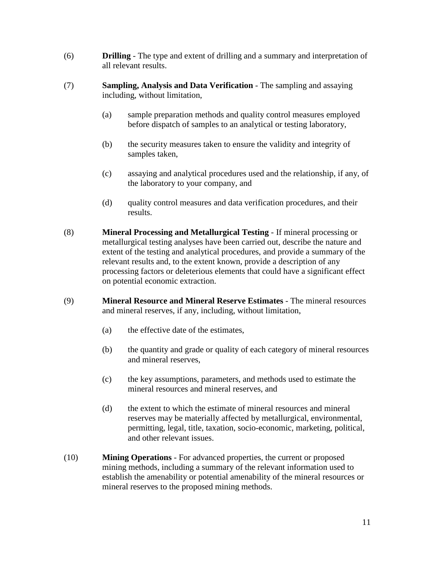- (6) **Drilling** The type and extent of drilling and a summary and interpretation of all relevant results.
- (7) **Sampling, Analysis and Data Verification** The sampling and assaying including, without limitation,
	- (a) sample preparation methods and quality control measures employed before dispatch of samples to an analytical or testing laboratory,
	- (b) the security measures taken to ensure the validity and integrity of samples taken,
	- (c) assaying and analytical procedures used and the relationship, if any, of the laboratory to your company, and
	- (d) quality control measures and data verification procedures, and their results.
- (8) **Mineral Processing and Metallurgical Testing** If mineral processing or metallurgical testing analyses have been carried out, describe the nature and extent of the testing and analytical procedures, and provide a summary of the relevant results and, to the extent known, provide a description of any processing factors or deleterious elements that could have a significant effect on potential economic extraction.
- (9) **Mineral Resource and Mineral Reserve Estimates** The mineral resources and mineral reserves, if any, including, without limitation,
	- (a) the effective date of the estimates,
	- (b) the quantity and grade or quality of each category of mineral resources and mineral reserves,
	- (c) the key assumptions, parameters, and methods used to estimate the mineral resources and mineral reserves, and
	- (d) the extent to which the estimate of mineral resources and mineral reserves may be materially affected by metallurgical, environmental, permitting, legal, title, taxation, socio-economic, marketing, political, and other relevant issues.
- (10) **Mining Operations** For advanced properties, the current or proposed mining methods, including a summary of the relevant information used to establish the amenability or potential amenability of the mineral resources or mineral reserves to the proposed mining methods.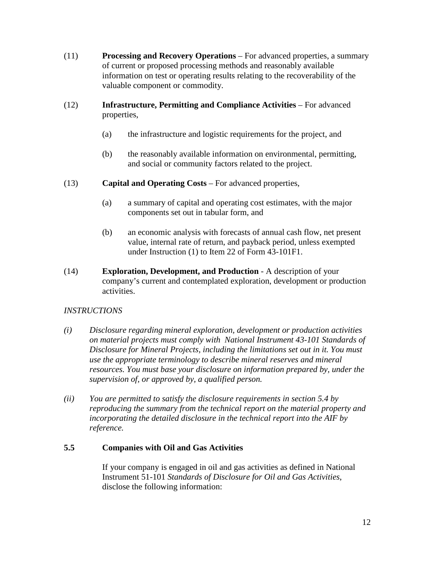- (11) **Processing and Recovery Operations** For advanced properties, a summary of current or proposed processing methods and reasonably available information on test or operating results relating to the recoverability of the valuable component or commodity.
- (12) **Infrastructure, Permitting and Compliance Activities** For advanced properties,
	- (a) the infrastructure and logistic requirements for the project, and
	- (b) the reasonably available information on environmental, permitting, and social or community factors related to the project.
- (13) **Capital and Operating Costs** For advanced properties,
	- (a) a summary of capital and operating cost estimates, with the major components set out in tabular form, and
	- (b) an economic analysis with forecasts of annual cash flow, net present value, internal rate of return, and payback period, unless exempted under Instruction (1) to Item 22 of Form 43-101F1.
- (14) **Exploration, Development, and Production** A description of your company's current and contemplated exploration, development or production activities.

# *INSTRUCTIONS*

- *(i) Disclosure regarding mineral exploration, development or production activities on material projects must comply with National Instrument 43-101 Standards of Disclosure for Mineral Projects, including the limitations set out in it. You must use the appropriate terminology to describe mineral reserves and mineral resources. You must base your disclosure on information prepared by, under the supervision of, or approved by, a qualified person.*
- *(ii) You are permitted to satisfy the disclosure requirements in section 5.4 by reproducing the summary from the technical report on the material property and incorporating the detailed disclosure in the technical report into the AIF by reference.*

## **5.5 Companies with Oil and Gas Activities**

If your company is engaged in oil and gas activities as defined in National Instrument 51-101 *Standards of Disclosure for Oil and Gas Activities*, disclose the following information: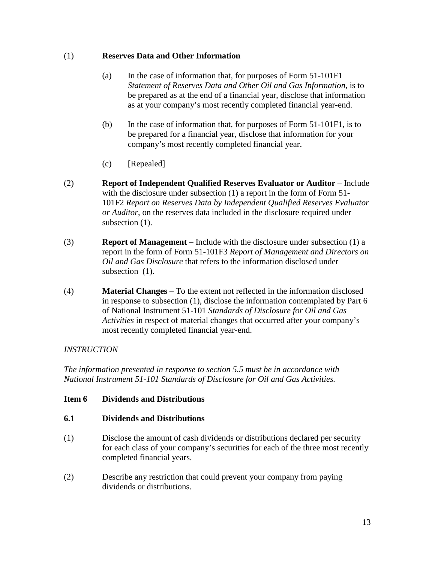# (1) **Reserves Data and Other Information**

- (a) In the case of information that, for purposes of Form 51-101F1 *Statement of Reserves Data and Other Oil and Gas Information*, is to be prepared as at the end of a financial year, disclose that information as at your company's most recently completed financial year-end.
- (b) In the case of information that, for purposes of Form 51-101F1, is to be prepared for a financial year, disclose that information for your company's most recently completed financial year.
- (c) [Repealed]
- (2) **Report of Independent Qualified Reserves Evaluator or Auditor** Include with the disclosure under subsection (1) a report in the form of Form 51-101F2 *Report on Reserves Data by Independent Qualified Reserves Evaluator or Auditor*, on the reserves data included in the disclosure required under subsection  $(1)$ .
- (3) **Report of Management**  Include with the disclosure under subsection (1) a report in the form of Form 51-101F3 *Report of Management and Directors on Oil and Gas Disclosure* that refers to the information disclosed under subsection  $(1)$ .
- (4) **Material Changes** To the extent not reflected in the information disclosed in response to subsection (1), disclose the information contemplated by Part 6 of National Instrument 51-101 *Standards of Disclosure for Oil and Gas Activities* in respect of material changes that occurred after your company's most recently completed financial year-end.

# *INSTRUCTION*

*The information presented in response to section 5.5 must be in accordance with National Instrument 51-101 Standards of Disclosure for Oil and Gas Activities.*

**Item 6 Dividends and Distributions**

# **6.1 Dividends and Distributions**

- (1) Disclose the amount of cash dividends or distributions declared per security for each class of your company's securities for each of the three most recently completed financial years.
- (2) Describe any restriction that could prevent your company from paying dividends or distributions.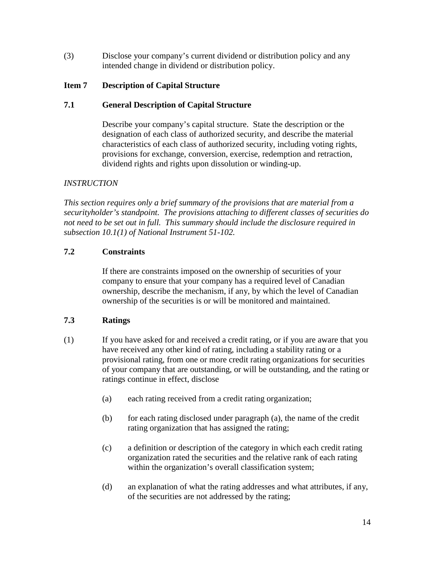(3) Disclose your company's current dividend or distribution policy and any intended change in dividend or distribution policy.

# **Item 7 Description of Capital Structure**

# **7.1 General Description of Capital Structure**

Describe your company's capital structure. State the description or the designation of each class of authorized security, and describe the material characteristics of each class of authorized security, including voting rights, provisions for exchange, conversion, exercise, redemption and retraction, dividend rights and rights upon dissolution or winding-up.

# *INSTRUCTION*

*This section requires only a brief summary of the provisions that are material from a securityholder's standpoint. The provisions attaching to different classes of securities do not need to be set out in full. This summary should include the disclosure required in subsection 10.1(1) of National Instrument 51-102.*

# **7.2 Constraints**

If there are constraints imposed on the ownership of securities of your company to ensure that your company has a required level of Canadian ownership, describe the mechanism, if any, by which the level of Canadian ownership of the securities is or will be monitored and maintained.

# **7.3 Ratings**

- (1) If you have asked for and received a credit rating, or if you are aware that you have received any other kind of rating, including a stability rating or a provisional rating, from one or more credit rating organizations for securities of your company that are outstanding, or will be outstanding, and the rating or ratings continue in effect, disclose
	- (a) each rating received from a credit rating organization;
	- (b) for each rating disclosed under paragraph (a), the name of the credit rating organization that has assigned the rating;
	- (c) a definition or description of the category in which each credit rating organization rated the securities and the relative rank of each rating within the organization's overall classification system;
	- (d) an explanation of what the rating addresses and what attributes, if any, of the securities are not addressed by the rating;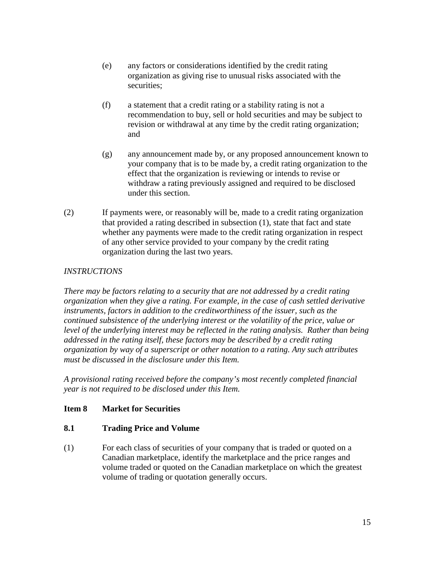- (e) any factors or considerations identified by the credit rating organization as giving rise to unusual risks associated with the securities;
- (f) a statement that a credit rating or a stability rating is not a recommendation to buy, sell or hold securities and may be subject to revision or withdrawal at any time by the credit rating organization; and
- (g) any announcement made by, or any proposed announcement known to your company that is to be made by, a credit rating organization to the effect that the organization is reviewing or intends to revise or withdraw a rating previously assigned and required to be disclosed under this section.
- (2) If payments were, or reasonably will be, made to a credit rating organization that provided a rating described in subsection (1), state that fact and state whether any payments were made to the credit rating organization in respect of any other service provided to your company by the credit rating organization during the last two years.

# *INSTRUCTIONS*

*There may be factors relating to a security that are not addressed by a credit rating organization when they give a rating. For example, in the case of cash settled derivative instruments, factors in addition to the creditworthiness of the issuer, such as the continued subsistence of the underlying interest or the volatility of the price, value or level of the underlying interest may be reflected in the rating analysis. Rather than being addressed in the rating itself, these factors may be described by a credit rating organization by way of a superscript or other notation to a rating. Any such attributes must be discussed in the disclosure under this Item.*

*A provisional rating received before the company's most recently completed financial year is not required to be disclosed under this Item.*

# **Item 8 Market for Securities**

# **8.1 Trading Price and Volume**

(1) For each class of securities of your company that is traded or quoted on a Canadian marketplace, identify the marketplace and the price ranges and volume traded or quoted on the Canadian marketplace on which the greatest volume of trading or quotation generally occurs.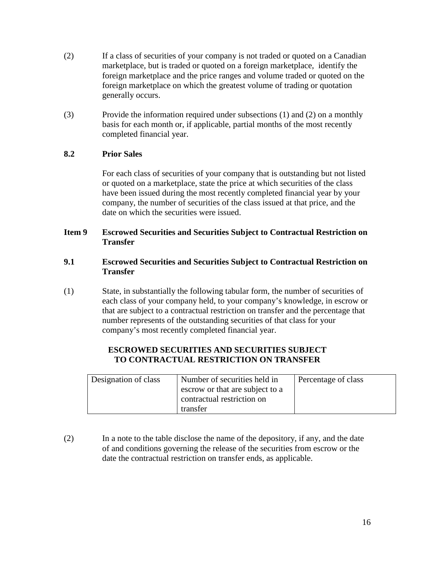- (2) If a class of securities of your company is not traded or quoted on a Canadian marketplace, but is traded or quoted on a foreign marketplace, identify the foreign marketplace and the price ranges and volume traded or quoted on the foreign marketplace on which the greatest volume of trading or quotation generally occurs.
- (3) Provide the information required under subsections (1) and (2) on a monthly basis for each month or, if applicable, partial months of the most recently completed financial year.

# **8.2 Prior Sales**

For each class of securities of your company that is outstanding but not listed or quoted on a marketplace, state the price at which securities of the class have been issued during the most recently completed financial year by your company, the number of securities of the class issued at that price, and the date on which the securities were issued.

# **Item 9 Escrowed Securities and Securities Subject to Contractual Restriction on Transfer**

# **9.1 Escrowed Securities and Securities Subject to Contractual Restriction on Transfer**

(1) State, in substantially the following tabular form, the number of securities of each class of your company held, to your company's knowledge, in escrow or that are subject to a contractual restriction on transfer and the percentage that number represents of the outstanding securities of that class for your company's most recently completed financial year.

# **ESCROWED SECURITIES AND SECURITIES SUBJECT TO CONTRACTUAL RESTRICTION ON TRANSFER**

| Designation of class | Number of securities held in    | Percentage of class |
|----------------------|---------------------------------|---------------------|
|                      | escrow or that are subject to a |                     |
|                      | contractual restriction on      |                     |
|                      | transfer                        |                     |

(2) In a note to the table disclose the name of the depository, if any, and the date of and conditions governing the release of the securities from escrow or the date the contractual restriction on transfer ends, as applicable.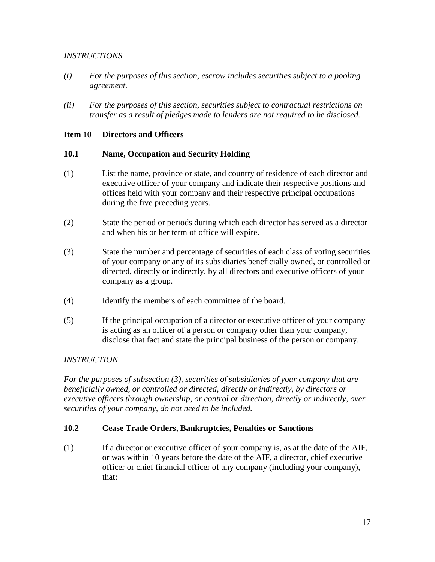# *INSTRUCTIONS*

- *(i) For the purposes of this section, escrow includes securities subject to a pooling agreement.*
- *(ii) For the purposes of this section, securities subject to contractual restrictions on transfer as a result of pledges made to lenders are not required to be disclosed.*

# **Item 10 Directors and Officers**

# **10.1 Name, Occupation and Security Holding**

- (1) List the name, province or state, and country of residence of each director and executive officer of your company and indicate their respective positions and offices held with your company and their respective principal occupations during the five preceding years.
- (2) State the period or periods during which each director has served as a director and when his or her term of office will expire.
- (3) State the number and percentage of securities of each class of voting securities of your company or any of its subsidiaries beneficially owned, or controlled or directed, directly or indirectly, by all directors and executive officers of your company as a group.
- (4) Identify the members of each committee of the board.
- (5) If the principal occupation of a director or executive officer of your company is acting as an officer of a person or company other than your company, disclose that fact and state the principal business of the person or company.

## *INSTRUCTION*

*For the purposes of subsection (3), securities of subsidiaries of your company that are beneficially owned, or controlled or directed, directly or indirectly, by directors or executive officers through ownership, or control or direction, directly or indirectly, over securities of your company, do not need to be included.*

## **10.2 Cease Trade Orders, Bankruptcies, Penalties or Sanctions**

(1) If a director or executive officer of your company is, as at the date of the AIF, or was within 10 years before the date of the AIF, a director, chief executive officer or chief financial officer of any company (including your company), that: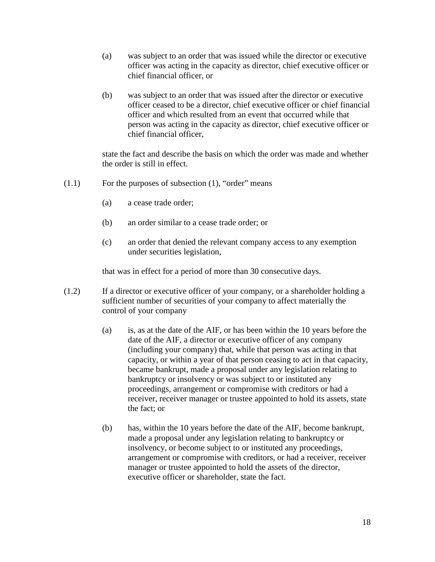- (a) was subject to an order that was issued while the director or executive officer was acting in the capacity as director, chief executive officer or chief financial officer, or
- (b) was subject to an order that was issued after the director or executive officer ceased to be a director, chief executive officer or chief financial officer and which resulted from an event that occurred while that person was acting in the capacity as director, chief executive officer or chief financial officer,

state the fact and describe the basis on which the order was made and whether the order is still in effect.

- (1.1) For the purposes of subsection (1), "order" means
	- (a) a cease trade order;
	- (b) an order similar to a cease trade order; or
	- (c) an order that denied the relevant company access to any exemption under securities legislation,

that was in effect for a period of more than 30 consecutive days.

- (1.2) If a director or executive officer of your company, or a shareholder holding a sufficient number of securities of your company to affect materially the control of your company
	- (a) is, as at the date of the AIF, or has been within the 10 years before the date of the AIF, a director or executive officer of any company (including your company) that, while that person was acting in that capacity, or within a year of that person ceasing to act in that capacity, became bankrupt, made a proposal under any legislation relating to bankruptcy or insolvency or was subject to or instituted any proceedings, arrangement or compromise with creditors or had a receiver, receiver manager or trustee appointed to hold its assets, state the fact; or
	- (b) has, within the 10 years before the date of the AIF, become bankrupt, made a proposal under any legislation relating to bankruptcy or insolvency, or become subject to or instituted any proceedings, arrangement or compromise with creditors, or had a receiver, receiver manager or trustee appointed to hold the assets of the director, executive officer or shareholder, state the fact.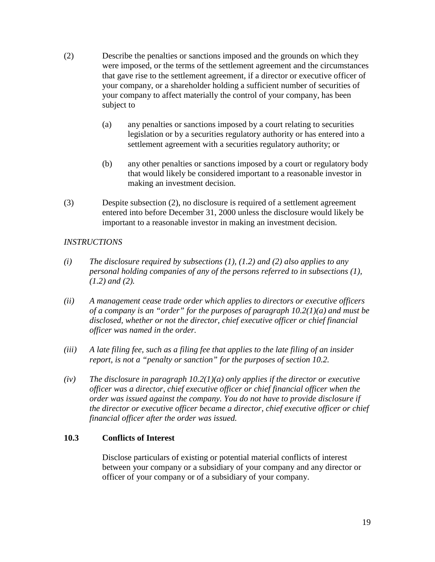- (2) Describe the penalties or sanctions imposed and the grounds on which they were imposed, or the terms of the settlement agreement and the circumstances that gave rise to the settlement agreement, if a director or executive officer of your company, or a shareholder holding a sufficient number of securities of your company to affect materially the control of your company, has been subject to
	- (a) any penalties or sanctions imposed by a court relating to securities legislation or by a securities regulatory authority or has entered into a settlement agreement with a securities regulatory authority; or
	- (b) any other penalties or sanctions imposed by a court or regulatory body that would likely be considered important to a reasonable investor in making an investment decision.
- (3) Despite subsection (2), no disclosure is required of a settlement agreement entered into before December 31, 2000 unless the disclosure would likely be important to a reasonable investor in making an investment decision.

# *INSTRUCTIONS*

- *(i) The disclosure required by subsections (1), (1.2) and (2) also applies to any personal holding companies of any of the persons referred to in subsections (1), (1.2) and (2).*
- *(ii) A management cease trade order which applies to directors or executive officers of a company is an "order" for the purposes of paragraph 10.2(1)(a) and must be disclosed, whether or not the director, chief executive officer or chief financial officer was named in the order.*
- *(iii) A late filing fee, such as a filing fee that applies to the late filing of an insider report, is not a "penalty or sanction" for the purposes of section 10.2.*
- *(iv) The disclosure in paragraph 10.2(1)(a) only applies if the director or executive officer was a director, chief executive officer or chief financial officer when the order was issued against the company. You do not have to provide disclosure if the director or executive officer became a director, chief executive officer or chief financial officer after the order was issued.*

## **10.3 Conflicts of Interest**

Disclose particulars of existing or potential material conflicts of interest between your company or a subsidiary of your company and any director or officer of your company or of a subsidiary of your company.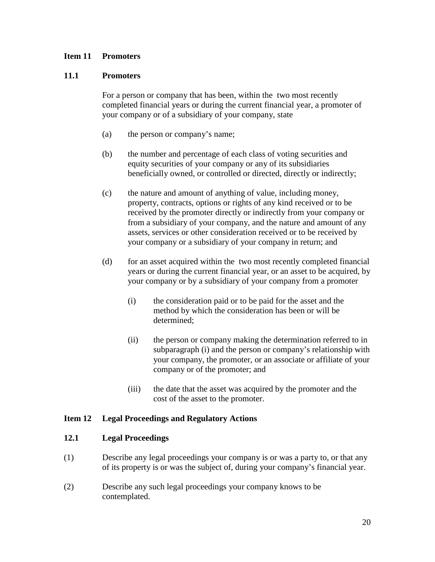# **Item 11 Promoters**

## **11.1 Promoters**

For a person or company that has been, within the two most recently completed financial years or during the current financial year, a promoter of your company or of a subsidiary of your company, state

- (a) the person or company's name;
- (b) the number and percentage of each class of voting securities and equity securities of your company or any of its subsidiaries beneficially owned, or controlled or directed, directly or indirectly;
- (c) the nature and amount of anything of value, including money, property, contracts, options or rights of any kind received or to be received by the promoter directly or indirectly from your company or from a subsidiary of your company, and the nature and amount of any assets, services or other consideration received or to be received by your company or a subsidiary of your company in return; and
- (d) for an asset acquired within the two most recently completed financial years or during the current financial year, or an asset to be acquired, by your company or by a subsidiary of your company from a promoter
	- (i) the consideration paid or to be paid for the asset and the method by which the consideration has been or will be determined;
	- (ii) the person or company making the determination referred to in subparagraph (i) and the person or company's relationship with your company, the promoter, or an associate or affiliate of your company or of the promoter; and
	- (iii) the date that the asset was acquired by the promoter and the cost of the asset to the promoter.

## **Item 12 Legal Proceedings and Regulatory Actions**

#### **12.1 Legal Proceedings**

- (1) Describe any legal proceedings your company is or was a party to, or that any of its property is or was the subject of, during your company's financial year.
- (2) Describe any such legal proceedings your company knows to be contemplated.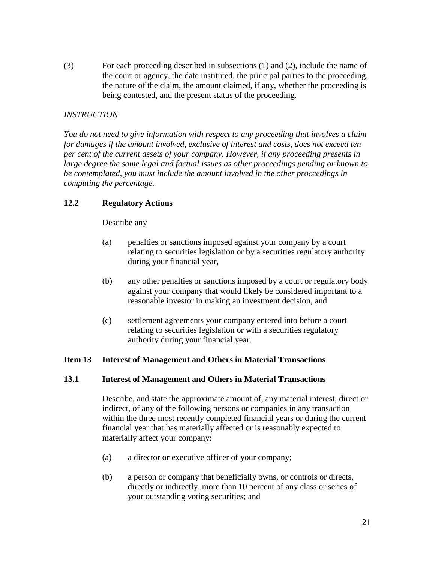(3) For each proceeding described in subsections (1) and (2), include the name of the court or agency, the date instituted, the principal parties to the proceeding, the nature of the claim, the amount claimed, if any, whether the proceeding is being contested, and the present status of the proceeding.

## *INSTRUCTION*

*You do not need to give information with respect to any proceeding that involves a claim for damages if the amount involved, exclusive of interest and costs, does not exceed ten per cent of the current assets of your company. However, if any proceeding presents in large degree the same legal and factual issues as other proceedings pending or known to be contemplated, you must include the amount involved in the other proceedings in computing the percentage.*

## **12.2 Regulatory Actions**

#### Describe any

- (a) penalties or sanctions imposed against your company by a court relating to securities legislation or by a securities regulatory authority during your financial year,
- (b) any other penalties or sanctions imposed by a court or regulatory body against your company that would likely be considered important to a reasonable investor in making an investment decision, and
- (c) settlement agreements your company entered into before a court relating to securities legislation or with a securities regulatory authority during your financial year.

#### **Item 13 Interest of Management and Others in Material Transactions**

#### **13.1 Interest of Management and Others in Material Transactions**

Describe, and state the approximate amount of, any material interest, direct or indirect, of any of the following persons or companies in any transaction within the three most recently completed financial years or during the current financial year that has materially affected or is reasonably expected to materially affect your company:

- (a) a director or executive officer of your company;
- (b) a person or company that beneficially owns, or controls or directs, directly or indirectly, more than 10 percent of any class or series of your outstanding voting securities; and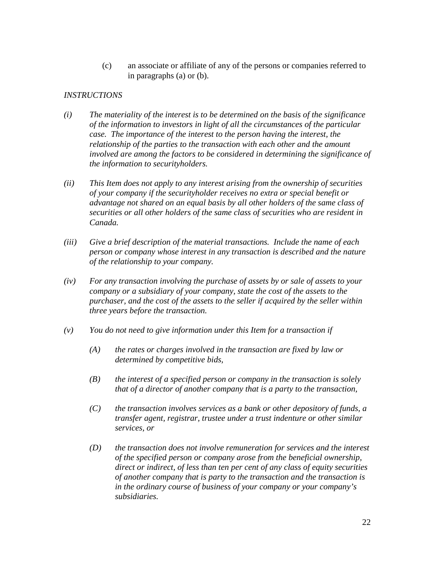(c) an associate or affiliate of any of the persons or companies referred to in paragraphs (a) or (b).

# *INSTRUCTIONS*

- *(i) The materiality of the interest is to be determined on the basis of the significance of the information to investors in light of all the circumstances of the particular case. The importance of the interest to the person having the interest, the relationship of the parties to the transaction with each other and the amount involved are among the factors to be considered in determining the significance of the information to securityholders.*
- *(ii) This Item does not apply to any interest arising from the ownership of securities of your company if the securityholder receives no extra or special benefit or advantage not shared on an equal basis by all other holders of the same class of securities or all other holders of the same class of securities who are resident in Canada.*
- *(iii) Give a brief description of the material transactions. Include the name of each person or company whose interest in any transaction is described and the nature of the relationship to your company.*
- *(iv) For any transaction involving the purchase of assets by or sale of assets to your company or a subsidiary of your company, state the cost of the assets to the purchaser, and the cost of the assets to the seller if acquired by the seller within three years before the transaction.*
- *(v) You do not need to give information under this Item for a transaction if*
	- *(A) the rates or charges involved in the transaction are fixed by law or determined by competitive bids,*
	- *(B) the interest of a specified person or company in the transaction is solely that of a director of another company that is a party to the transaction,*
	- *(C) the transaction involves services as a bank or other depository of funds, a transfer agent, registrar, trustee under a trust indenture or other similar services, or*
	- *(D) the transaction does not involve remuneration for services and the interest of the specified person or company arose from the beneficial ownership, direct or indirect, of less than ten per cent of any class of equity securities of another company that is party to the transaction and the transaction is in the ordinary course of business of your company or your company's subsidiaries.*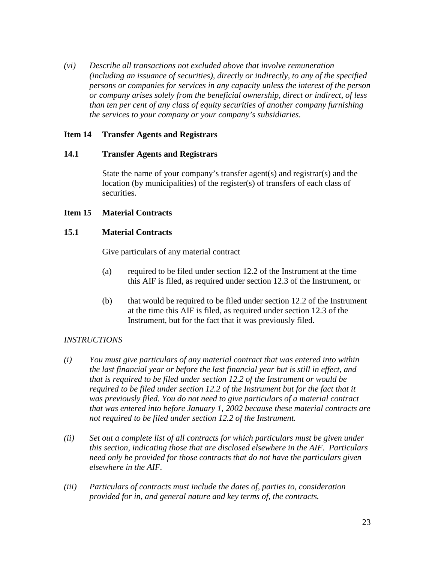*(vi) Describe all transactions not excluded above that involve remuneration (including an issuance of securities), directly or indirectly, to any of the specified persons or companies for services in any capacity unless the interest of the person or company arises solely from the beneficial ownership, direct or indirect, of less than ten per cent of any class of equity securities of another company furnishing the services to your company or your company's subsidiaries.*

# **Item 14 Transfer Agents and Registrars**

## **14.1 Transfer Agents and Registrars**

State the name of your company's transfer agent(s) and registrar(s) and the location (by municipalities) of the register(s) of transfers of each class of securities.

# **Item 15 Material Contracts**

# **15.1 Material Contracts**

Give particulars of any material contract

- (a) required to be filed under section 12.2 of the Instrument at the time this AIF is filed, as required under section 12.3 of the Instrument, or
- (b) that would be required to be filed under section 12.2 of the Instrument at the time this AIF is filed, as required under section 12.3 of the Instrument, but for the fact that it was previously filed.

# *INSTRUCTIONS*

- *(i) You must give particulars of any material contract that was entered into within the last financial year or before the last financial year but is still in effect, and that is required to be filed under section 12.2 of the Instrument or would be required to be filed under section 12.2 of the Instrument but for the fact that it was previously filed. You do not need to give particulars of a material contract that was entered into before January 1, 2002 because these material contracts are not required to be filed under section 12.2 of the Instrument.*
- *(ii) Set out a complete list of all contracts for which particulars must be given under this section, indicating those that are disclosed elsewhere in the AIF. Particulars need only be provided for those contracts that do not have the particulars given elsewhere in the AIF.*
- *(iii) Particulars of contracts must include the dates of, parties to, consideration provided for in, and general nature and key terms of, the contracts.*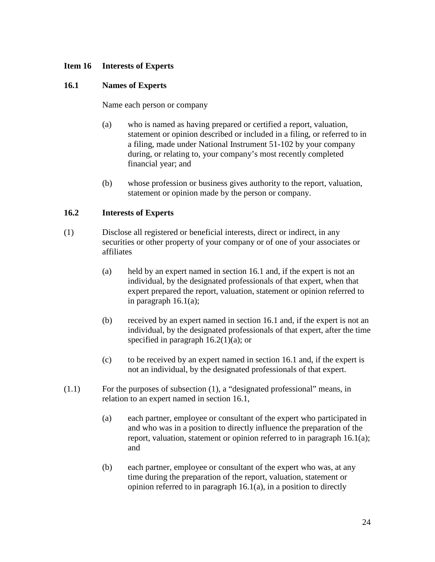# **Item 16 Interests of Experts**

#### **16.1 Names of Experts**

Name each person or company

- (a) who is named as having prepared or certified a report, valuation, statement or opinion described or included in a filing, or referred to in a filing, made under National Instrument 51-102 by your company during, or relating to, your company's most recently completed financial year; and
- (b) whose profession or business gives authority to the report, valuation, statement or opinion made by the person or company.

## **16.2 Interests of Experts**

- (1) Disclose all registered or beneficial interests, direct or indirect, in any securities or other property of your company or of one of your associates or affiliates
	- (a) held by an expert named in section 16.1 and, if the expert is not an individual, by the designated professionals of that expert, when that expert prepared the report, valuation, statement or opinion referred to in paragraph 16.1(a);
	- (b) received by an expert named in section 16.1 and, if the expert is not an individual, by the designated professionals of that expert, after the time specified in paragraph  $16.2(1)(a)$ ; or
	- (c) to be received by an expert named in section 16.1 and, if the expert is not an individual, by the designated professionals of that expert.
- $(1.1)$  For the purposes of subsection  $(1)$ , a "designated professional" means, in relation to an expert named in section 16.1,
	- (a) each partner, employee or consultant of the expert who participated in and who was in a position to directly influence the preparation of the report, valuation, statement or opinion referred to in paragraph 16.1(a); and
	- (b) each partner, employee or consultant of the expert who was, at any time during the preparation of the report, valuation, statement or opinion referred to in paragraph 16.1(a), in a position to directly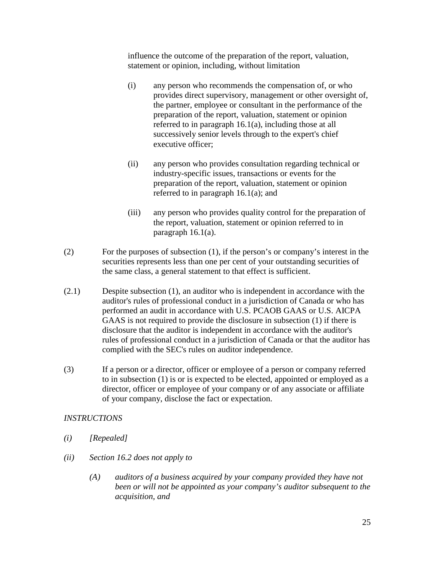influence the outcome of the preparation of the report, valuation, statement or opinion, including, without limitation

- (i) any person who recommends the compensation of, or who provides direct supervisory, management or other oversight of, the partner, employee or consultant in the performance of the preparation of the report, valuation, statement or opinion referred to in paragraph 16.1(a), including those at all successively senior levels through to the expert's chief executive officer;
- (ii) any person who provides consultation regarding technical or industry-specific issues, transactions or events for the preparation of the report, valuation, statement or opinion referred to in paragraph 16.1(a); and
- (iii) any person who provides quality control for the preparation of the report, valuation, statement or opinion referred to in paragraph 16.1(a).
- (2) For the purposes of subsection (1), if the person's or company's interest in the securities represents less than one per cent of your outstanding securities of the same class, a general statement to that effect is sufficient.
- (2.1) Despite subsection (1), an auditor who is independent in accordance with the auditor's rules of professional conduct in a jurisdiction of Canada or who has performed an audit in accordance with U.S. PCAOB GAAS or U.S. AICPA GAAS is not required to provide the disclosure in subsection (1) if there is disclosure that the auditor is independent in accordance with the auditor's rules of professional conduct in a jurisdiction of Canada or that the auditor has complied with the SEC's rules on auditor independence.
- (3) If a person or a director, officer or employee of a person or company referred to in subsection (1) is or is expected to be elected, appointed or employed as a director, officer or employee of your company or of any associate or affiliate of your company, disclose the fact or expectation.

# *INSTRUCTIONS*

- *(i) [Repealed]*
- *(ii) Section 16.2 does not apply to*
	- *(A) auditors of a business acquired by your company provided they have not been or will not be appointed as your company's auditor subsequent to the acquisition, and*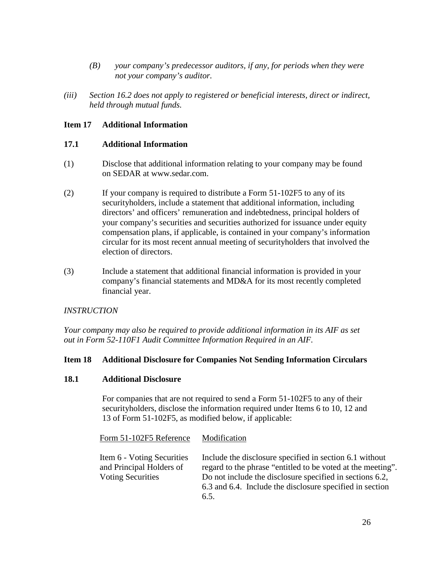- *(B) your company's predecessor auditors, if any, for periods when they were not your company's auditor.*
- *(iii) Section 16.2 does not apply to registered or beneficial interests, direct or indirect, held through mutual funds.*

## **Item 17 Additional Information**

## **17.1 Additional Information**

- (1) Disclose that additional information relating to your company may be found on SEDAR at www.sedar.com.
- (2) If your company is required to distribute a Form 51-102F5 to any of its securityholders, include a statement that additional information, including directors' and officers' remuneration and indebtedness, principal holders of your company's securities and securities authorized for issuance under equity compensation plans, if applicable, is contained in your company's information circular for its most recent annual meeting of securityholders that involved the election of directors.
- (3) Include a statement that additional financial information is provided in your company's financial statements and MD&A for its most recently completed financial year.

## *INSTRUCTION*

*Your company may also be required to provide additional information in its AIF as set out in Form 52-110F1 Audit Committee Information Required in an AIF.*

## **Item 18 Additional Disclosure for Companies Not Sending Information Circulars**

## **18.1 Additional Disclosure**

For companies that are not required to send a Form 51-102F5 to any of their securityholders, disclose the information required under Items 6 to 10, 12 and 13 of Form 51-102F5, as modified below, if applicable:

| Form 51-102F5 Reference                                                            | Modification                                                                                                                                                                                                                                           |
|------------------------------------------------------------------------------------|--------------------------------------------------------------------------------------------------------------------------------------------------------------------------------------------------------------------------------------------------------|
| Item 6 - Voting Securities<br>and Principal Holders of<br><b>Voting Securities</b> | Include the disclosure specified in section 6.1 without<br>regard to the phrase "entitled to be voted at the meeting".<br>Do not include the disclosure specified in sections 6.2,<br>6.3 and 6.4. Include the disclosure specified in section<br>6.5. |